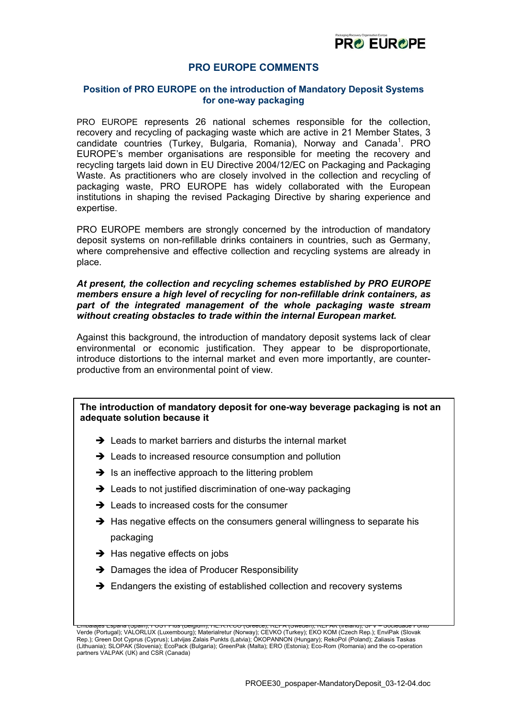

# **PRO EUROPE COMMENTS**

### **Position of PRO EUROPE on the introduction of Mandatory Deposit Systems for one-way packaging**

PRO EUROPE represents 26 national schemes responsible for the collection, recovery and recycling of packaging waste which are active in 21 Member States, 3 candidate countries (Turkey, Bulgaria, Romania), Norway and Canada<sup>[1](#page-0-0)</sup>. PRO EUROPE's member organisations are responsible for meeting the recovery and recycling targets laid down in EU Directive 2004/12/EC on Packaging and Packaging Waste. As practitioners who are closely involved in the collection and recycling of packaging waste, PRO EUROPE has widely collaborated with the European institutions in shaping the revised Packaging Directive by sharing experience and expertise.

PRO EUROPE members are strongly concerned by the introduction of mandatory deposit systems on non-refillable drinks containers in countries, such as Germany, where comprehensive and effective collection and recycling systems are already in place.

### *At present, the collection and recycling schemes established by PRO EUROPE members ensure a high level of recycling for non-refillable drink containers, as part of the integrated management of the whole packaging waste stream without creating obstacles to trade within the internal European market.*

Against this background, the introduction of mandatory deposit systems lack of clear environmental or economic justification. They appear to be disproportionate, introduce distortions to the internal market and even more importantly, are counterproductive from an environmental point of view.

# **The introduction of mandatory deposit for one-way beverage packaging is not an adequate solution because it**

- $\rightarrow$  Leads to market barriers and disturbs the internal market
- $\rightarrow$  Leads to increased resource consumption and pollution
- $\rightarrow$  Is an ineffective approach to the littering problem
- $\rightarrow$  Leads to not justified discrimination of one-way packaging
- $\rightarrow$  Leads to increased costs for the consumer
- $\rightarrow$  Has negative effects on the consumers general willingness to separate his packaging
- $\rightarrow$  Has negative effects on jobs
- $\rightarrow$  Damages the idea of Producer Responsibility
- $\rightarrow$  Endangers the existing of established collection and recovery systems

<span id="page-0-0"></span>Embalajes Espana (Spain); FOST Plus (Belgium); HE.R.R.CO (Greece); REPA (Sweden); REPAK (Ireland); SPV – Sociedade Ponto Verde (Portugal); VALORLUX (Luxembourg); Materialretur (Norway); CEVKO (Turkey); EKO KOM (Czech Rep.); EnviPak (Slovak Rep.); Green Dot Cyprus (Cyprus); Latvijas Zalais Punkts (Latvia); ÖKOPANNON (Hungary); RekoPol (Poland); Zaliasis Taskas (Lithuania); SLOPAK (Slovenia); EcoPack (Bulgaria); GreenPak (Malta); ERO (Estonia); Eco-Rom (Romania) and the co-operation partners VALPAK (UK) and CSR (Canada)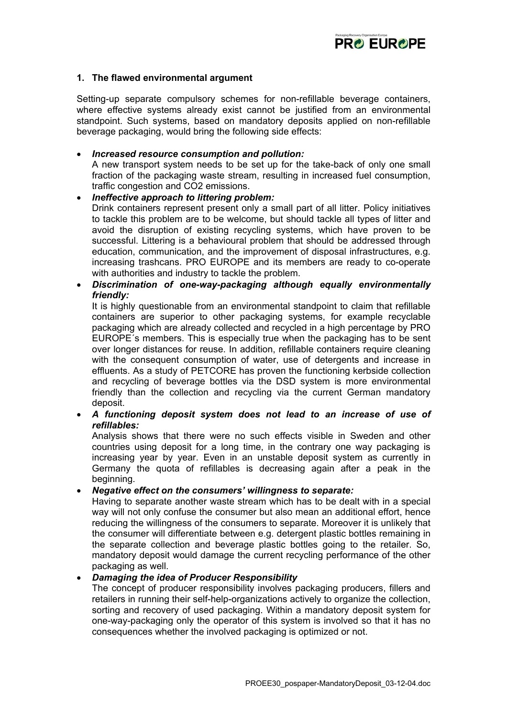

## **1. The flawed environmental argument**

Setting-up separate compulsory schemes for non-refillable beverage containers, where effective systems already exist cannot be justified from an environmental standpoint. Such systems, based on mandatory deposits applied on non-refillable beverage packaging, would bring the following side effects:

#### • *Increased resource consumption and pollution:*

A new transport system needs to be set up for the take-back of only one small fraction of the packaging waste stream, resulting in increased fuel consumption, traffic congestion and CO2 emissions.

## • *Ineffective approach to littering problem:*

Drink containers represent present only a small part of all litter. Policy initiatives to tackle this problem are to be welcome, but should tackle all types of litter and avoid the disruption of existing recycling systems, which have proven to be successful. Littering is a behavioural problem that should be addressed through education, communication, and the improvement of disposal infrastructures, e.g. increasing trashcans. PRO EUROPE and its members are ready to co-operate with authorities and industry to tackle the problem.

# • *Discrimination of one-way-packaging although equally environmentally friendly:*

It is highly questionable from an environmental standpoint to claim that refillable containers are superior to other packaging systems, for example recyclable packaging which are already collected and recycled in a high percentage by PRO EUROPE´s members. This is especially true when the packaging has to be sent over longer distances for reuse. In addition, refillable containers require cleaning with the consequent consumption of water, use of detergents and increase in effluents. As a study of PETCORE has proven the functioning kerbside collection and recycling of beverage bottles via the DSD system is more environmental friendly than the collection and recycling via the current German mandatory deposit.

• *A functioning deposit system does not lead to an increase of use of refillables:*

Analysis shows that there were no such effects visible in Sweden and other countries using deposit for a long time, in the contrary one way packaging is increasing year by year. Even in an unstable deposit system as currently in Germany the quota of refillables is decreasing again after a peak in the beginning.

#### • *Negative effect on the consumers' willingness to separate:*

Having to separate another waste stream which has to be dealt with in a special way will not only confuse the consumer but also mean an additional effort, hence reducing the willingness of the consumers to separate. Moreover it is unlikely that the consumer will differentiate between e.g. detergent plastic bottles remaining in the separate collection and beverage plastic bottles going to the retailer. So, mandatory deposit would damage the current recycling performance of the other packaging as well.

#### • *Damaging the idea of Producer Responsibility*

The concept of producer responsibility involves packaging producers, fillers and retailers in running their self-help-organizations actively to organize the collection, sorting and recovery of used packaging. Within a mandatory deposit system for one-way-packaging only the operator of this system is involved so that it has no consequences whether the involved packaging is optimized or not.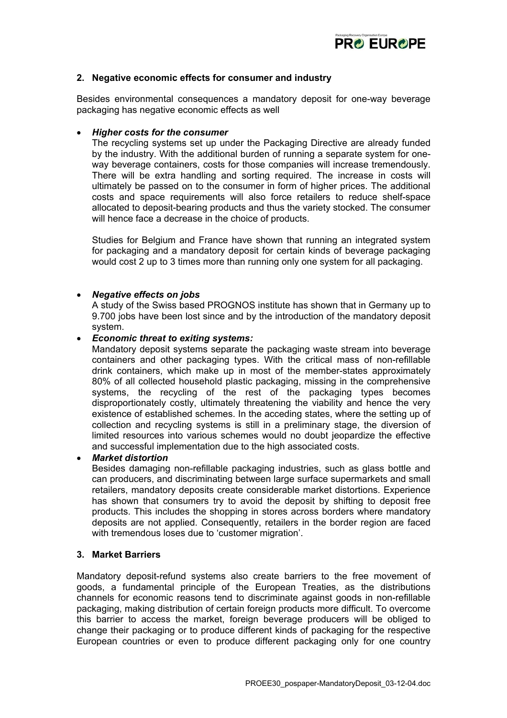

## **2. Negative economic effects for consumer and industry**

Besides environmental consequences a mandatory deposit for one-way beverage packaging has negative economic effects as well

#### • *Higher costs for the consumer*

The recycling systems set up under the Packaging Directive are already funded by the industry. With the additional burden of running a separate system for oneway beverage containers, costs for those companies will increase tremendously. There will be extra handling and sorting required. The increase in costs will ultimately be passed on to the consumer in form of higher prices. The additional costs and space requirements will also force retailers to reduce shelf-space allocated to deposit-bearing products and thus the variety stocked. The consumer will hence face a decrease in the choice of products.

Studies for Belgium and France have shown that running an integrated system for packaging and a mandatory deposit for certain kinds of beverage packaging would cost 2 up to 3 times more than running only one system for all packaging.

#### • *Negative effects on jobs*

A study of the Swiss based PROGNOS institute has shown that in Germany up to 9.700 jobs have been lost since and by the introduction of the mandatory deposit system.

#### • *Economic threat to exiting systems:*

Mandatory deposit systems separate the packaging waste stream into beverage containers and other packaging types. With the critical mass of non-refillable drink containers, which make up in most of the member-states approximately 80% of all collected household plastic packaging, missing in the comprehensive systems, the recycling of the rest of the packaging types becomes disproportionately costly, ultimately threatening the viability and hence the very existence of established schemes. In the acceding states, where the setting up of collection and recycling systems is still in a preliminary stage, the diversion of limited resources into various schemes would no doubt jeopardize the effective and successful implementation due to the high associated costs.

#### • *Market distortion*

Besides damaging non-refillable packaging industries, such as glass bottle and can producers, and discriminating between large surface supermarkets and small retailers, mandatory deposits create considerable market distortions. Experience has shown that consumers try to avoid the deposit by shifting to deposit free products. This includes the shopping in stores across borders where mandatory deposits are not applied. Consequently, retailers in the border region are faced with tremendous loses due to 'customer migration'.

### **3. Market Barriers**

Mandatory deposit-refund systems also create barriers to the free movement of goods, a fundamental principle of the European Treaties, as the distributions channels for economic reasons tend to discriminate against goods in non-refillable packaging, making distribution of certain foreign products more difficult. To overcome this barrier to access the market, foreign beverage producers will be obliged to change their packaging or to produce different kinds of packaging for the respective European countries or even to produce different packaging only for one country